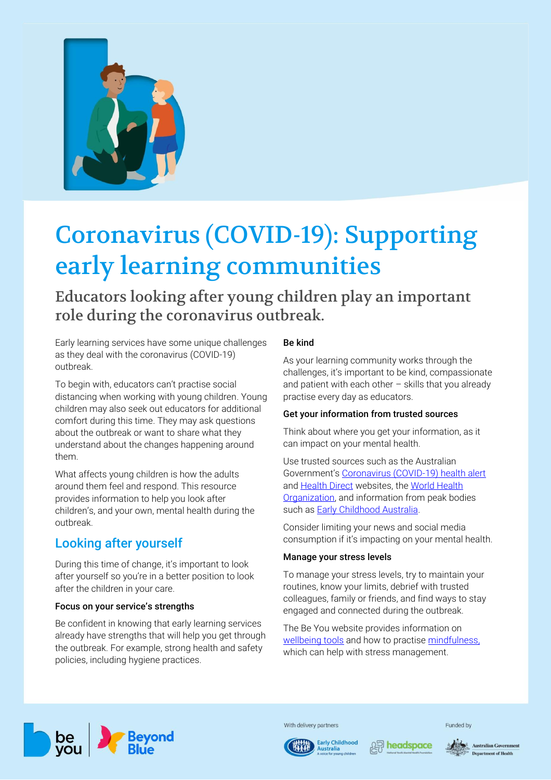

# Coronavirus (COVID-19): Supporting early learning communities

Educators looking after young children play an important role during the coronavirus outbreak.

Early learning services have some unique challenges as they deal with the coronavirus (COVID-19) outbreak.

To begin with, educators can't practise social distancing when working with young children. Young children may also seek out educators for additional comfort during this time. They may ask questions about the outbreak or want to share what they understand about the changes happening around them.

What affects young children is how the adults around them feel and respond. This resource provides information to help you look after children's, and your own, mental health during the outbreak.

# Looking after yourself

During this time of change, it's important to look after yourself so you're in a better position to look after the children in your care.

### Focus on your service's strengths

Be confident in knowing that early learning services already have strengths that will help you get through the outbreak. For example, strong health and safety policies, including hygiene practices.

# Be kind

As your learning community works through the challenges, it's important to be kind, compassionate and patient with each other  $-$  skills that you already practise every day as educators.

### Get your information from trusted sources

Think about where you get your information, as it can impact on your mental health.

Use trusted sources such as the Australian Government's [Coronavirus \(COVID-19\) health alert](https://www.health.gov.au/news/health-alerts/novel-coronavirus-2019-ncov-health-alert) and **Health Direct** websites, the World Health [Organization,](https://www.who.int/emergencies/diseases/novel-coronavirus-2019) and information from peak bodies such as **Early Childhood Australia**.

Consider limiting your news and social media consumption if it's impacting on your mental health.

### Manage your stress levels

To manage your stress levels, try to maintain your routines, know your limits, debrief with trusted colleagues, family or friends, and find ways to stay engaged and connected during the outbreak.

The Be You website provides information on [wellbeing tools](https://beyou.edu.au/resources/tools-and-guides/wellbeing-tools-for-you) and how to practise [mindfulness,](https://beyou.edu.au/fact-sheets/wellbeing/mindfulness) which can help with stress management.



With delivery partners





**Australian Government** artment of Health